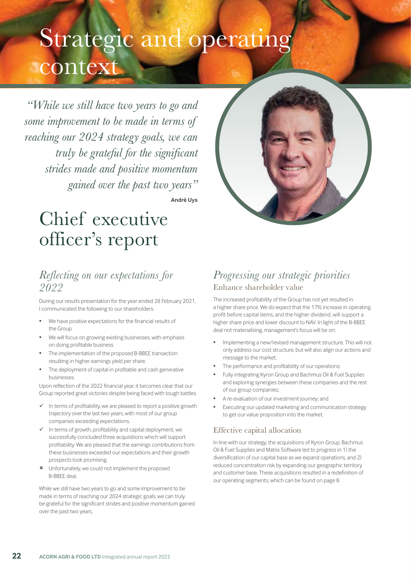# Strategic and operating context

*"While we still have two years to go and some improvement to be made in terms of reaching our 2024 strategy goals, we can truly be grateful for the significant strides made and positive momentum gained over the past two years"*

**André Uys**

# Chief executive officer's report

## *Reflecting on our expectations for 2022*

During our results presentation for the year ended 28 February 2021, I communicated the following to our shareholders:

- We have positive expectations for the financial results of the Group.
- We will focus on growing existing businesses, with emphasis on doing profitable business.
- The implementation of the proposed B-BBEE transaction resulting in higher earnings yield per share.
- The deployment of capital in profitable and cash generative businesses.

Upon reflection of the 2022 financial year, it becomes clear that our Group reported great victories despite being faced with tough battles.

- In terms of profitability, we are pleased to report a positive growth trajectory over the last two years, with most of our group companies exceeding expectations.
- In terms of growth, profitability and capital deployment, we successfully concluded three acquisitions which will support profitability. We are pleased that the earnings contributions from these businesses exceeded our expectations and their growth prospects look promising.
- Unfortunately, we could not implement the proposed B-BBEE deal.

While we still have two years to go and some improvement to be made in terms of reaching our 2024 strategic goals, we can truly be grateful for the significant strides and positive momentum gained over the past two years.

## *Progressing our strategic priorities*  Enhance shareholder value

The increased profitability of the Group has not yet resulted in a higher share price. We do expect that the 17% increase in operating profit before capital items, and the higher dividend, will support a higher share price and lower discount to NAV. In light of the B-BBEE deal not materialising, management's focus will be on:

- Implementing a new/revised management structure. This will not only address our cost structure, but will also align our actions and message to the market;
- The performance and profitability of our operations;
- Fully integrating Kyron Group and Bachmus Oil & Fuel Supplies and exploring synergies between these companies and the rest of our group companies;
- A re-evaluation of our investment journey; and
- Executing our updated marketing and communication strategy to get our value proposition into the market.

## Effective capital allocation

In line with our strategy, the acquisitions of Kyron Group, Bachmus Oil & Fuel Supplies and Matrix Software led to progress in 1) the diversification of our capital base as we expand operations, and 2) reduced concentration risk by expanding our geographic territory and customer base. These acquisitions resulted in a redefinition of our operating segments, which can be found on page 8.

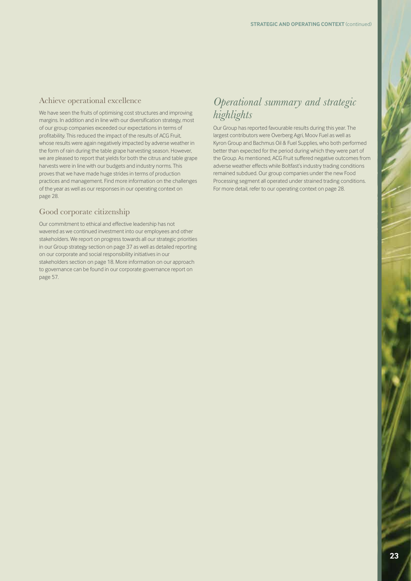## Achieve operational excellence

We have seen the fruits of optimising cost structures and improving margins. In addition and in line with our diversification strategy, most of our group companies exceeded our expectations in terms of profitability. This reduced the impact of the results of ACG Fruit, whose results were again negatively impacted by adverse weather in the form of rain during the table grape harvesting season. However, we are pleased to report that yields for both the citrus and table grape harvests were in line with our budgets and industry norms. This proves that we have made huge strides in terms of production practices and management. Find more information on the challenges of the year as well as our responses in our operating context on page 28.

## Good corporate citizenship

Our commitment to ethical and effective leadership has not wavered as we continued investment into our employees and other stakeholders. We report on progress towards all our strategic priorities in our Group strategy section on page 37 as well as detailed reporting on our corporate and social responsibility initiatives in our stakeholders section on page 18. More information on our approach to governance can be found in our corporate governance report on page 57.

## *Operational summary and strategic highlights*

Our Group has reported favourable results during this year. The largest contributors were Overberg Agri, Moov Fuel as well as Kyron Group and Bachmus Oil & Fuel Supplies, who both performed better than expected for the period during which they were part of the Group. As mentioned, ACG Fruit suffered negative outcomes from adverse weather effects while Boltfast's industry trading conditions remained subdued. Our group companies under the new Food Processing segment all operated under strained trading conditions. For more detail, refer to our operating context on page 28.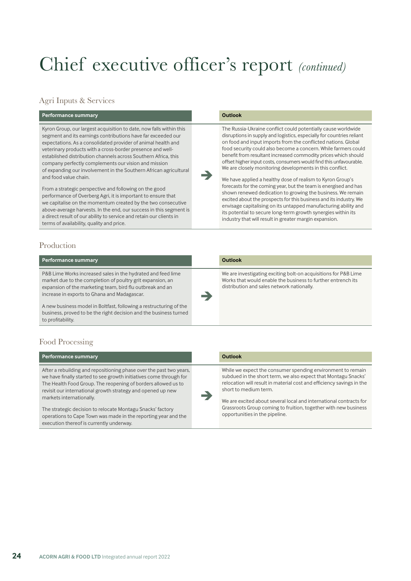# Chief executive officer's report *(continued)*

## Agri Inputs & Services

| <b>Performance summary</b> | Outlook |
|----------------------------|---------|
|                            |         |

Kyron Group, our largest acquisition to date, now falls within this segment and its earnings contributions have far exceeded our expectations. As a consolidated provider of animal health and veterinary products with a cross-border presence and wellestablished distribution channels across Southern Africa, this company perfectly complements our vision and mission of expanding our involvement in the Southern African agricultural and food value chain.

From a strategic perspective and following on the good performance of Overberg Agri, it is important to ensure that we capitalise on the momentum created by the two consecutive above-average harvests. In the end, our success in this segment is a direct result of our ability to service and retain our clients in terms of availability, quality and price.

## Production

| <b>Performance summary</b>                                                                                                                                                                                                              | <b>Outlook</b>                                                                                                                                                                |
|-----------------------------------------------------------------------------------------------------------------------------------------------------------------------------------------------------------------------------------------|-------------------------------------------------------------------------------------------------------------------------------------------------------------------------------|
| P&B Lime Works increased sales in the hydrated and feed lime<br>market due to the completion of poultry grit expansion, an<br>expansion of the marketing team, bird flu outbreak and an<br>increase in exports to Ghana and Madagascar. | We are investigating exciting bolt-on acquisitions for P&B Lime<br>Works that would enable the business to further entrench its<br>distribution and sales network nationally. |
| A new business model in Boltfast, following a restructuring of the<br>business, proved to be the right decision and the business turned<br>to profitability.                                                                            |                                                                                                                                                                               |

è

The Russia-Ukraine conflict could potentially cause worldwide disruptions in supply and logistics, especially for countries reliant on food and input imports from the conflicted nations. Global food security could also become a concern. While farmers could benefit from resultant increased commodity prices which should offset higher input costs, consumers would find this unfavourable. We are closely monitoring developments in this conflict. We have applied a healthy dose of realism to Kyron Group's forecasts for the coming year, but the team is energised and has shown renewed dedication to growing the business. We remain excited about the prospects for this business and its industry. We envisage capitalising on its untapped manufacturing ability and its potential to secure long-term growth synergies within its industry that will result in greater margin expansion.

## Food Processing

| Performance summary                                                                                                                                                                                                                                                                                                                                                                                                                                                               | Outlook                                                                                                                                                                                                                                                                                                                                                                                                    |
|-----------------------------------------------------------------------------------------------------------------------------------------------------------------------------------------------------------------------------------------------------------------------------------------------------------------------------------------------------------------------------------------------------------------------------------------------------------------------------------|------------------------------------------------------------------------------------------------------------------------------------------------------------------------------------------------------------------------------------------------------------------------------------------------------------------------------------------------------------------------------------------------------------|
| After a rebuilding and repositioning phase over the past two years,<br>we have finally started to see growth initiatives come through for<br>The Health Food Group. The reopening of borders allowed us to<br>revisit our international growth strategy and opened up new<br>markets internationally.<br>The strategic decision to relocate Montagu Snacks' factory<br>operations to Cape Town was made in the reporting year and the<br>execution thereof is currently underway. | While we expect the consumer spending environment to remain<br>subdued in the short term, we also expect that Montagu Snacks'<br>relocation will result in material cost and efficiency savings in the<br>short to medium term.<br>We are excited about several local and international contracts for<br>Grassroots Group coming to fruition, together with new business<br>opportunities in the pipeline. |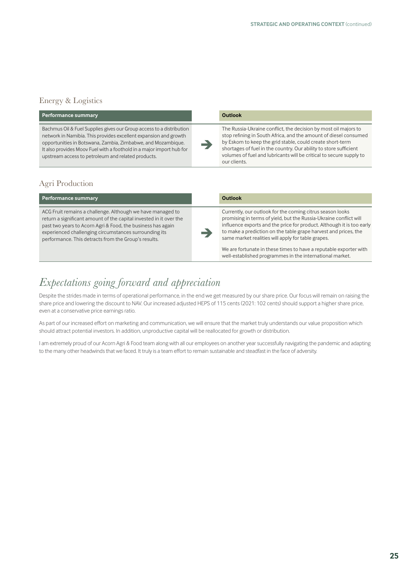## Energy & Logistics

| Performance summary                                                                                                                                                                                                                                                                                                                    | <b>Outlook</b>                                                                                                                                                                                                                                                                                                                                               |
|----------------------------------------------------------------------------------------------------------------------------------------------------------------------------------------------------------------------------------------------------------------------------------------------------------------------------------------|--------------------------------------------------------------------------------------------------------------------------------------------------------------------------------------------------------------------------------------------------------------------------------------------------------------------------------------------------------------|
| Bachmus Oil & Fuel Supplies gives our Group access to a distribution<br>network in Namibia. This provides excellent expansion and growth<br>opportunities in Botswana, Zambia, Zimbabwe, and Mozambique.<br>It also provides Moov Fuel with a foothold in a major import hub for<br>upstream access to petroleum and related products. | The Russia-Ukraine conflict, the decision by most oil majors to<br>stop refining in South Africa, and the amount of diesel consumed<br>by Eskom to keep the grid stable, could create short-term<br>shortages of fuel in the country. Our ability to store sufficient<br>volumes of fuel and lubricants will be critical to secure supply to<br>our clients. |

## Agri Production

| Performance summary                                                                                                                                                                                                                                                                                              | <b>Outlook</b>                                                                                                                                                                                                                                                                                                                                                                                                                                                    |
|------------------------------------------------------------------------------------------------------------------------------------------------------------------------------------------------------------------------------------------------------------------------------------------------------------------|-------------------------------------------------------------------------------------------------------------------------------------------------------------------------------------------------------------------------------------------------------------------------------------------------------------------------------------------------------------------------------------------------------------------------------------------------------------------|
| ACG Fruit remains a challenge. Although we have managed to<br>return a significant amount of the capital invested in it over the<br>past two years to Acorn Agri & Food, the business has again<br>experienced challenging circumstances surrounding its<br>performance. This detracts from the Group's results. | Currently, our outlook for the coming citrus season looks<br>promising in terms of yield, but the Russia-Ukraine conflict will<br>influence exports and the price for product. Although it is too early<br>to make a prediction on the table grape harvest and prices, the<br>same market realities will apply for table grapes.<br>We are fortunate in these times to have a reputable exporter with<br>well-established programmes in the international market. |

## *Expectations going forward and appreciation*

Despite the strides made in terms of operational performance, in the end we get measured by our share price. Our focus will remain on raising the share price and lowering the discount to NAV. Our increased adjusted HEPS of 115 cents (2021: 102 cents) should support a higher share price, even at a conservative price earnings ratio.

As part of our increased effort on marketing and communication, we will ensure that the market truly understands our value proposition which should attract potential investors. In addition, unproductive capital will be reallocated for growth or distribution.

I am extremely proud of our Acorn Agri & Food team along with all our employees on another year successfully navigating the pandemic and adapting to the many other headwinds that we faced. It truly is a team effort to remain sustainable and steadfast in the face of adversity.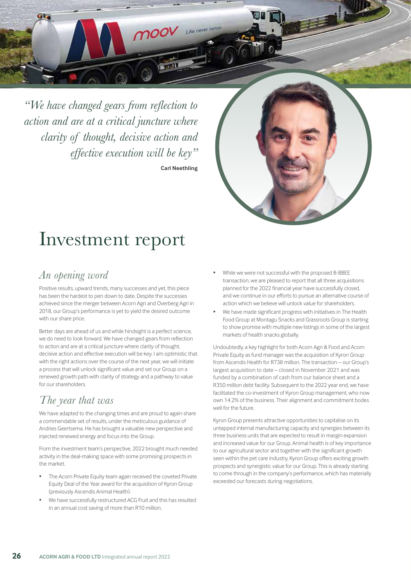*"We have changed gears from reflection to action and are at a critical juncture where clarity of thought, decisive action and effective execution will be key"* **Carl Neethling**

moov Like never been

 $\sqrt{2.3 - 11}$ 



# Investment report

## *An opening word*

Positive results, upward trends, many successes and yet, this piece has been the hardest to pen down to date. Despite the successes achieved since the merger between Acorn Agri and Overberg Agri in 2018, our Group's performance is yet to yield the desired outcome with our share price.

Better days are ahead of us and while hindsight is a perfect science, we do need to look forward. We have changed gears from reflection to action and are at a critical juncture where clarity of thought, decisive action and effective execution will be key. I am optimistic that with the right actions over the course of the next year, we will initiate a process that will unlock significant value and set our Group on a renewed growth path with clarity of strategy and a pathway to value for our shareholders.

## *The year that was*

We have adapted to the changing times and are proud to again share a commendable set of results, under the meticulous guidance of Andries Geertsema. He has brought a valuable new perspective and injected renewed energy and focus into the Group.

From the investment team's perspective, 2022 brought much needed activity in the deal-making space with some promising prospects in the market.

- The Acorn Private Equity team again received the coveted Private Equity Deal of the Year award for the acquisition of Kyron Group (previously Ascendis Animal Health).
- We have successfully restructured ACG Fruit and this has resulted in an annual cost saving of more than R10 million.
- While we were not successful with the proposed B-BBEE transaction, we are pleased to report that all three acquisitions planned for the 2022 financial year have successfully closed, and we continue in our efforts to pursue an alternative course of action which we believe will unlock value for shareholders.
- We have made significant progress with initiatives in The Health Food Group at Montagu Snacks and Grassroots Group is starting to show promise with multiple new listings in some of the largest markets of health snacks globally.

Undoubtedly, a key highlight for both Acorn Agri & Food and Acorn Private Equity as fund manager was the acquisition of Kyron Group from Ascendis Health for R738 million. The transaction – our Group's largest acquisition to date – closed in November 2021 and was funded by a combination of cash from our balance sheet and a R350 million debt facility. Subsequent to the 2022 year end, we have facilitated the co-investment of Kyron Group management, who now own 14.2% of the business. Their alignment and commitment bodes well for the future.

Kyron Group presents attractive opportunities to capitalise on its untapped internal manufacturing capacity and synergies between its three business units that are expected to result in margin expansion and increased value for our Group. Animal health is of key importance to our agricultural sector and together with the significant growth seen within the pet care industry, Kyron Group offers exciting growth prospects and synergistic value for our Group. This is already starting to come through in the company's performance, which has materially exceeded our forecasts during negotiations.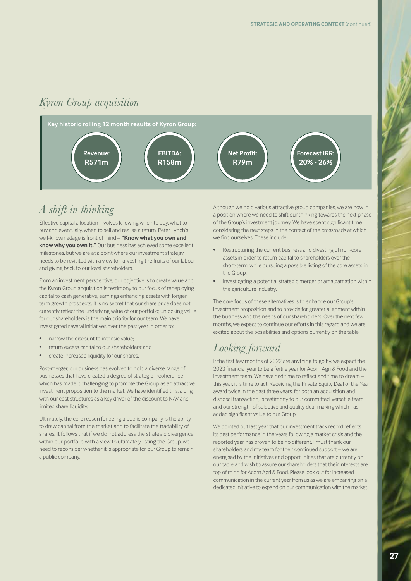## *Kyron Group acquisition*



## *A shift in thinking*

Effective capital allocation involves knowing when to buy, what to buy and eventually, when to sell and realise a return. Peter Lynch's well-known adage is front of mind – **"Know what you own and know why you own it."** Our business has achieved some excellent milestones, but we are at a point where our investment strategy needs to be revisited with a view to harvesting the fruits of our labour and giving back to our loyal shareholders.

From an investment perspective, our objective is to create value and the Kyron Group acquisition is testimony to our focus of redeploying capital to cash generative, earnings enhancing assets with longer term growth prospects. It is no secret that our share price does not currently reflect the underlying value of our portfolio; unlocking value for our shareholders is the main priority for our team. We have investigated several initiatives over the past year in order to:

- narrow the discount to intrinsic value;
- return excess capital to our shareholders; and
- create increased liquidity for our shares.

Post-merger, our business has evolved to hold a diverse range of businesses that have created a degree of strategic incoherence which has made it challenging to promote the Group as an attractive investment proposition to the market. We have identified this, along with our cost structures as a key driver of the discount to NAV and limited share liquidity.

Ultimately, the core reason for being a public company is the ability to draw capital from the market and to facilitate the tradability of shares. It follows that if we do not address the strategic divergence within our portfolio with a view to ultimately listing the Group, we need to reconsider whether it is appropriate for our Group to remain a public company.

Although we hold various attractive group companies, we are now in a position where we need to shift our thinking towards the next phase of the Group's investment journey. We have spent significant time considering the next steps in the context of the crossroads at which we find ourselves. These include:

- Restructuring the current business and divesting of non-core assets in order to return capital to shareholders over the short-term, while pursuing a possible listing of the core assets in the Group.
- Investigating a potential strategic merger or amalgamation within the agriculture industry.

The core focus of these alternatives is to enhance our Group's investment proposition and to provide for greater alignment within the business and the needs of our shareholders. Over the next few months, we expect to continue our efforts in this regard and we are excited about the possibilities and options currently on the table.

## *Looking forward*

If the first few months of 2022 are anything to go by, we expect the 2023 financial year to be a fertile year for Acorn Agri & Food and the investment team. We have had time to reflect and time to dream – this year, it is time to act. Receiving the Private Equity Deal of the Year award twice in the past three years, for both an acquisition and disposal transaction, is testimony to our committed, versatile team and our strength of selective and quality deal-making which has added significant value to our Group.

We pointed out last year that our investment track record reflects its best performance in the years following a market crisis and the reported year has proven to be no different. I must thank our shareholders and my team for their continued support – we are energised by the initiatives and opportunities that are currently on our table and wish to assure our shareholders that their interests are top of mind for Acorn Agri & Food. Please look out for increased communication in the current year from us as we are embarking on a dedicated initiative to expand on our communication with the market.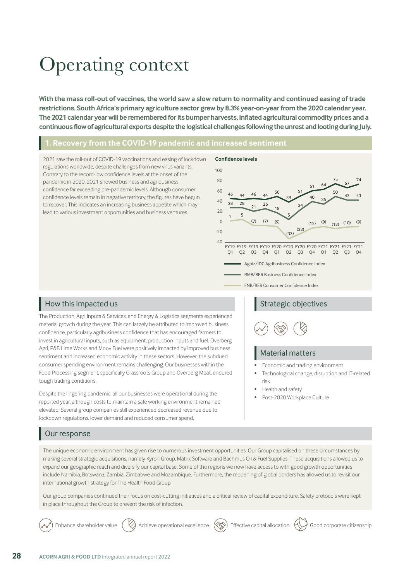# Operating context

**With the mass roll-out of vaccines, the world saw a slow return to normality and continued easing of trade restrictions. South Africa's primary agriculture sector grew by 8.3% year-on-year from the 2020 calendar year. The 2021 calendar year will be remembered for its bumper harvests, inflated agricultural commodity prices and a continuous flow of agricultural exports despite the logistical challenges following the unrest and looting during July.** 

## **1. Recovery from the COVID-19 pandemic and increased sentiment**

2021 saw the roll-out of COVID-19 vaccinations and easing of lockdown regulations worldwide, despite challenges from new virus variants. Contrary to the record-low confidence levels at the onset of the pandemic in 2020, 2021 showed business and agribusiness confidence far exceeding pre-pandemic levels. Although consumer confidence levels remain in negative territory, the figures have begun to recover. This indicates an increasing business appetite which may lead to various investment opportunities and business ventures.



## How this impacted us

The Production, Agri Inputs & Services, and Energy & Logistics segments experienced material growth during the year. This can largely be attributed to improved business confidence, particularly agribusiness confidence that has encouraged farmers to invest in agricultural inputs, such as equipment, production inputs and fuel. Overberg Agri, P&B Lime Works and Moov Fuel were positively impacted by improved business sentiment and increased economic activity in these sectors. However, the subdued consumer spending environment remains challenging. Our businesses within the Food Processing segment, specifically Grassroots Group and Overberg Meat, endured tough trading conditions.

Despite the lingering pandemic, all our businesses were operational during the reported year, although costs to maintain a safe working environment remained elevated. Several group companies still experienced decreased revenue due to lockdown regulations, lower demand and reduced consumer spend.

## Strategic objectives



## Material matters

- Economic and trading environment
- Technological change, disruption and IT-related risk
- Health and safety
- Post-2020 Workplace Culture

## Our response

The unique economic environment has given rise to numerous investment opportunities. Our Group capitalised on these circumstances by making several strategic acquisitions, namely Kyron Group, Matrix Software and Bachmus Oil & Fuel Supplies. These acquisitions allowed us to expand our geographic reach and diversify our capital base. Some of the regions we now have access to with good growth opportunities include Namibia, Botswana, Zambia, Zimbabwe and Mozambique. Furthermore, the reopening of global borders has allowed us to revisit our international growth strategy for The Health Food Group.

Our group companies continued their focus on cost-cutting initiatives and a critical review of capital expenditure. Safety protocols were kept in place throughout the Group to prevent the risk of infection.

Enhance shareholder value  $(\heartsuit)$  Achieve operational excellence  $(\diamondsuit)$  Effective capital allocation  $(\diamondsuit)$  Good corporate citizenship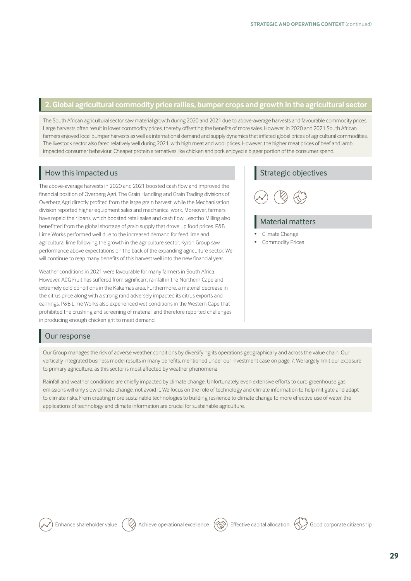## **2. Global agricultural commodity price rallies, bumper crops and growth in the agricultural sector**

The South African agricultural sector saw material growth during 2020 and 2021 due to above-average harvests and favourable commodity prices. Large harvests often result in lower commodity prices, thereby offsetting the benefits of more sales. However, in 2020 and 2021 South African farmers enjoyed local bumper harvests as well as international demand and supply dynamics that inflated global prices of agricultural commodities. The livestock sector also fared relatively well during 2021, with high meat and wool prices. However, the higher meat prices of beef and lamb impacted consumer behaviour. Cheaper protein alternatives like chicken and pork enjoyed a bigger portion of the consumer spend.

## How this impacted us

The above-average harvests in 2020 and 2021 boosted cash flow and improved the financial position of Overberg Agri. The Grain Handling and Grain Trading divisions of Overberg Agri directly profited from the large grain harvest, while the Mechanisation division reported higher equipment sales and mechanical work. Moreover, farmers have repaid their loans, which boosted retail sales and cash flow. Lesotho Milling also benefitted from the global shortage of grain supply that drove up food prices. P&B Lime Works performed well due to the increased demand for feed lime and agricultural lime following the growth in the agriculture sector. Kyron Group saw performance above expectations on the back of the expanding agriculture sector. We will continue to reap many benefits of this harvest well into the new financial year.

Weather conditions in 2021 were favourable for many farmers in South Africa. However, ACG Fruit has suffered from significant rainfall in the Northern Cape and extremely cold conditions in the Kakamas area. Furthermore, a material decrease in the citrus price along with a strong rand adversely impacted its citrus exports and earnings. P&B Lime Works also experienced wet conditions in the Western Cape that prohibited the crushing and screening of material, and therefore reported challenges in producing enough chicken grit to meet demand.

## Strategic objectives



## Material matters

- Climate Change
- Commodity Prices

## Our response

Our Group manages the risk of adverse weather conditions by diversifying its operations geographically and across the value chain. Our vertically integrated business model results in many benefits, mentioned under our investment case on page 7. We largely limit our exposure to primary agriculture, as this sector is most affected by weather phenomena.

Rainfall and weather conditions are chiefly impacted by climate change. Unfortunately, even extensive efforts to curb greenhouse gas emissions will only slow climate change, not avoid it. We focus on the role of technology and climate information to help mitigate and adapt to climate risks. From creating more sustainable technologies to building resilience to climate change to more effective use of water, the applications of technology and climate information are crucial for sustainable agriculture.

Enhance shareholder value  $\Box$  Achieve operational excellence  $\Diamond$ ) Effective capital allocation  $\Diamond$  Good corporate citizenship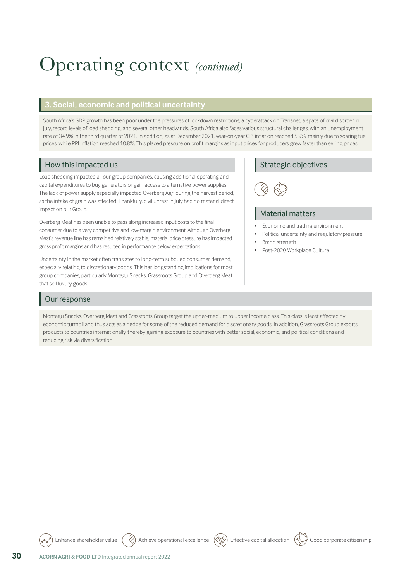# Operating context *(continued)*

## **3. Social, economic and political uncertainty**

South Africa's GDP growth has been poor under the pressures of lockdown restrictions, a cyberattack on Transnet, a spate of civil disorder in July, record levels of load shedding, and several other headwinds. South Africa also faces various structural challenges, with an unemployment rate of 34.9% in the third quarter of 2021. In addition, as at December 2021, year-on-year CPI inflation reached 5.9%, mainly due to soaring fuel prices, while PPI inflation reached 10.8%. This placed pressure on profit margins as input prices for producers grew faster than selling prices.

## How this impacted us

Load shedding impacted all our group companies, causing additional operating and capital expenditures to buy generators or gain access to alternative power supplies. The lack of power supply especially impacted Overberg Agri during the harvest period, as the intake of grain was affected. Thankfully, civil unrest in July had no material direct impact on our Group.

Overberg Meat has been unable to pass along increased input costs to the final consumer due to a very competitive and low-margin environment. Although Overberg Meat's revenue line has remained relatively stable, material price pressure has impacted gross profit margins and has resulted in performance below expectations.

Uncertainty in the market often translates to long-term subdued consumer demand, especially relating to discretionary goods. This has longstanding implications for most group companies, particularly Montagu Snacks, Grassroots Group and Overberg Meat that sell luxury goods.

## Our response

Montagu Snacks, Overberg Meat and Grassroots Group target the upper-medium to upper income class. This class is least affected by economic turmoil and thus acts as a hedge for some of the reduced demand for discretionary goods. In addition, Grassroots Group exports products to countries internationally, thereby gaining exposure to countries with better social, economic, and political conditions and reducing risk via diversification.

Enhance shareholder value Achieve operational excellence Effective capital allocation Good corporate citizenship

## Strategic objectives



## Material matters

- Economic and trading environment
- Political uncertainty and regulatory pressure
- Brand strength
- Post-2020 Workplace Culture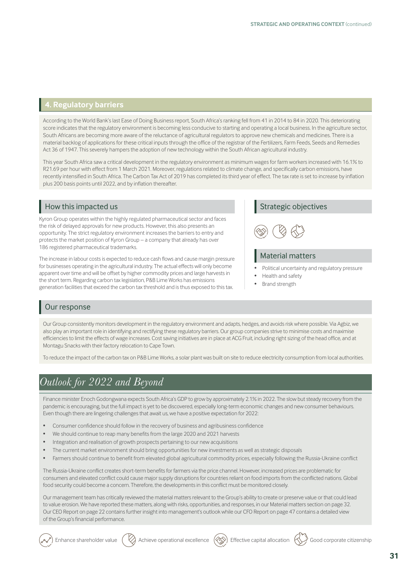## **4. Regulatory barriers**

According to the World Bank's last Ease of Doing Business report, South Africa's ranking fell from 41 in 2014 to 84 in 2020. This deteriorating score indicates that the regulatory environment is becoming less conducive to starting and operating a local business. In the agriculture sector, South Africans are becoming more aware of the reluctance of agricultural regulators to approve new chemicals and medicines. There is a material backlog of applications for these critical inputs through the office of the registrar of the Fertilizers, Farm Feeds, Seeds and Remedies Act 36 of 1947. This severely hampers the adoption of new technology within the South African agricultural industry.

This year South Africa saw a critical development in the regulatory environment as minimum wages for farm workers increased with 16.1% to R21.69 per hour with effect from 1 March 2021. Moreover, regulations related to climate change, and specifically carbon emissions, have recently intensified in South Africa. The Carbon Tax Act of 2019 has completed its third year of effect. The tax rate is set to increase by inflation plus 200 basis points until 2022, and by inflation thereafter.

## How this impacted us

Kyron Group operates within the highly regulated pharmaceutical sector and faces the risk of delayed approvals for new products. However, this also presents an opportunity. The strict regulatory environment increases the barriers to entry and protects the market position of Kyron Group – a company that already has over 186 registered pharmaceutical trademarks.

The increase in labour costs is expected to reduce cash flows and cause margin pressure for businesses operating in the agricultural industry. The actual effects will only become apparent over time and will be offset by higher commodity prices and large harvests in the short term. Regarding carbon tax legislation, P&B Lime Works has emissions generation facilities that exceed the carbon tax threshold and is thus exposed to this tax.

## Strategic objectives



### Material matters

- Political uncertainty and regulatory pressure
- Health and safety
- Brand strength

## Our response

Our Group consistently monitors development in the regulatory environment and adapts, hedges, and avoids risk where possible. Via Agbiz, we also play an important role in identifying and rectifying these regulatory barriers. Our group companies strive to minimise costs and maximise efficiencies to limit the effects of wage increases. Cost saving initiatives are in place at ACG Fruit, including right sizing of the head office, and at Montagu Snacks with their factory relocation to Cape Town.

To reduce the impact of the carbon tax on P&B Lime Works, a solar plant was built on site to reduce electricity consumption from local authorities.

## *Outlook for 2022 and Beyond*

Finance minister Enoch Godongwana expects South Africa's GDP to grow by approximately 2.1% in 2022. The slow but steady recovery from the pandemic is encouraging, but the full impact is yet to be discovered, especially long-term economic changes and new consumer behaviours. Even though there are lingering challenges that await us, we have a positive expectation for 2022:

- Consumer confidence should follow in the recovery of business and agribusiness confidence
- We should continue to reap many benefits from the large 2020 and 2021 harvests
- Integration and realisation of growth prospects pertaining to our new acquisitions
- The current market environment should bring opportunities for new investments as well as strategic disposals
- Farmers should continue to benefit from elevated global agricultural commodity prices, especially following the Russia-Ukraine conflict

The Russia-Ukraine conflict creates short-term benefits for farmers via the price channel. However, increased prices are problematic for consumers and elevated conflict could cause major supply disruptions for countries reliant on food imports from the conflicted nations. Global food security could become a concern. Therefore, the developments in this conflict must be monitored closely.

Our management team has critically reviewed the material matters relevant to the Group's ability to create or preserve value or that could lead to value erosion. We have reported these matters, along with risks, opportunities, and responses, in our Material matters section on page 32. Our CEO Report on page 22 contains further insight into management's outlook while our CFO Report on page 47 contains a detailed view of the Group's financial performance.

Enhance shareholder value  $(\vee)$  Achieve operational excellence  $(\otimes)$  Effective capital allocation  $(\vee)$  Good corporate citizenship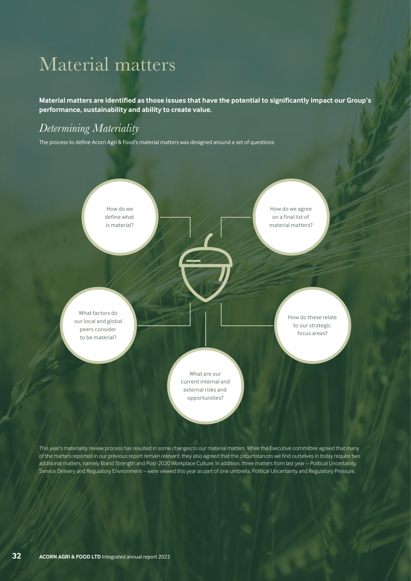# Material matters

**Material matters are identified as those issues that have the potential to significantly impact our Group's performance, sustainability and ability to create value.** 

## *Determining Materiality*

The process to define Acorn Agri & Food's material matters was designed around a set of questions:



This year's materiality review process has resulted in some changes to our material matters. While the Executive committee agreed that many of the matters reported in our previous report remain relevant, they also agreed that the circumstances we find ourselves in today require two additional matters, namely Brand Strength and Post-2020 Workplace Culture. In addition, three matters from last year – Political Uncertainty, Service Delivery and Regulatory Environment – were viewed this year as part of one umbrella, Political Uncertainty and Regulatory Pressure.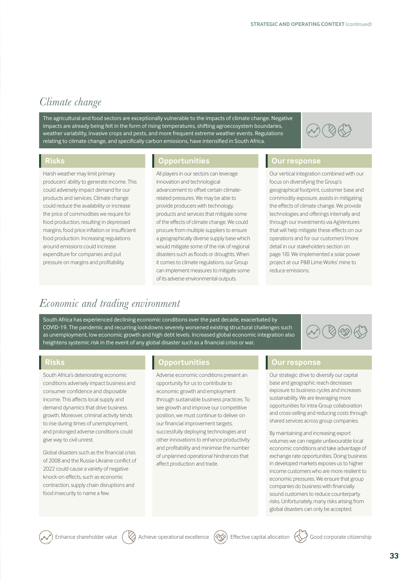## *Climate change*

The agricultural and food sectors are exceptionally vulnerable to the impacts of climate change. Negative impacts are already being felt in the form of rising temperatures, shifting agroecosystem boundaries, weather variability, invasive crops and pests, and more frequent extreme weather events. Regulations relating to climate change, and specifically carbon emissions, have intensified in South Africa.



Harsh weather may limit primary producers' ability to generate income. This could adversely impact demand for our products and services. Climate change could reduce the availability or increase the price of commodities we require for food production, resulting in depressed margins, food price inflation or insufficient food production. Increasing regulations around emissions could increase expenditure for companies and put pressure on margins and profitability.

## **Risks Opportunities Our response**

All players in our sectors can leverage innovation and technological advancement to offset certain climaterelated pressures. We may be able to provide producers with technology, products and services that mitigate some of the effects of climate change. We could procure from multiple suppliers to ensure a geographically diverse supply base which would mitigate some of the risk of regional disasters such as floods or droughts. When it comes to climate regulations, our Group can implement measures to mitigate some of its adverse environmental outputs.

Our vertical integration combined with our focus on diversifying the Group's geographical footprint, customer base and commodity exposure, assists in mitigating the effects of climate change. We provide technologies and offerings internally and through our investments via AgVentures that will help mitigate these effects on our operations and for our customers (more detail in our stakeholders section on page 18). We implemented a solar power project at our P&B Lime Works' mine to reduce emissions.

## *Economic and trading environment*

South Africa has experienced declining economic conditions over the past decade, exacerbated by COVID-19. The pandemic and recurring lockdowns severely worsened existing structural challenges such as unemployment, low economic growth and high debt levels. Increased global economic integration also heightens systemic risk in the event of any global disaster such as a financial crisis or war.

South Africa's deteriorating economic conditions adversely impact business and consumer confidence and disposable income. This affects local supply and demand dynamics that drive business growth. Moreover, criminal activity tends to rise during times of unemployment, and prolonged adverse conditions could give way to civil unrest.

Global disasters such as the financial crisis of 2008 and the Russia-Ukraine conflict of 2022 could cause a variety of negative knock-on effects, such as economic contraction, supply chain disruptions and food insecurity to name a few.

## **Risks Opportunities Our response**

Adverse economic conditions present an opportunity for us to contribute to economic growth and employment through sustainable business practices. To see growth and improve our competitive position, we must continue to deliver on our financial improvement targets, successfully deploying technologies and other innovations to enhance productivity and profitability and minimise the number of unplanned operational hindrances that affect production and trade.

Our strategic drive to diversify our capital base and geographic reach decreases exposure to business cycles and increases sustainability. We are leveraging more opportunities for intra-Group collaboration and cross-selling and reducing costs through shared services across group companies.

By maintaining and increasing export volumes we can negate unfavourable local economic conditions and take advantage of exchange rate opportunities. Doing business in developed markets exposes us to higher income customers who are more resilient to economic pressures. We ensure that group companies do business with financially sound customers to reduce counterparty risks. Unfortunately, many risks arising from global disasters can only be accepted.

Enhance shareholder value  $\langle \rangle$  Achieve operational excellence  $\langle \langle \rangle$  Effective capital allocation  $\langle \rangle$  Good corporate citizenship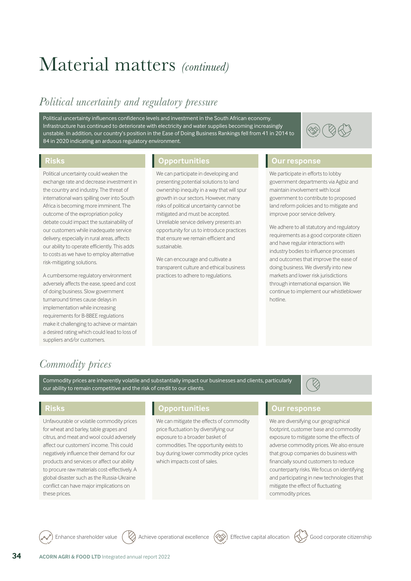# Material matters *(continued)*

## *Political uncertainty and regulatory pressure*

Political uncertainty influences confidence levels and investment in the South African economy. Infrastructure has continued to deteriorate with electricity and water supplies becoming increasingly unstable. In addition, our country's position in the Ease of Doing Business Rankings fell from 41 in 2014 to 84 in 2020 indicating an arduous regulatory environment.



Political uncertainty could weaken the exchange rate and decrease investment in the country and industry. The threat of international wars spilling over into South Africa is becoming more imminent. The outcome of the expropriation policy debate could impact the sustainability of our customers while inadequate service delivery, especially in rural areas, affects our ability to operate efficiently. This adds to costs as we have to employ alternative risk-mitigating solutions.

A cumbersome regulatory environment adversely affects the ease, speed and cost of doing business. Slow government turnaround times cause delays in implementation while increasing requirements for B-BBEE regulations make it challenging to achieve or maintain a desired rating which could lead to loss of suppliers and/or customers.

## **Risks Opportunities Our response**

We can participate in developing and presenting potential solutions to land ownership inequity in a way that will spur growth in our sectors. However, many risks of political uncertainty cannot be mitigated and must be accepted. Unreliable service delivery presents an opportunity for us to introduce practices that ensure we remain efficient and sustainable.

We can encourage and cultivate a transparent culture and ethical business practices to adhere to regulations.

We participate in efforts to lobby government departments via Agbiz and maintain involvement with local government to contribute to proposed land reform policies and to mitigate and improve poor service delivery.

We adhere to all statutory and regulatory requirements as a good corporate citizen and have regular interactions with industry bodies to influence processes and outcomes that improve the ease of doing business. We diversify into new markets and lower risk jurisdictions through international expansion. We continue to implement our whistleblower hotline.

## *Commodity prices*

Commodity prices are inherently volatile and substantially impact our businesses and clients, particularly our ability to remain competitive and the risk of credit to our clients.



Unfavourable or volatile commodity prices for wheat and barley, table grapes and citrus, and meat and wool could adversely affect our customers' income. This could negatively influence their demand for our products and services or affect our ability to procure raw materials cost-effectively. A global disaster such as the Russia-Ukraine conflict can have major implications on these prices.

## **Risks Opportunities Our response**

We can mitigate the effects of commodity price fluctuation by diversifying our exposure to a broader basket of commodities. The opportunity exists to buy during lower commodity price cycles which impacts cost of sales.

We are diversifying our geographical footprint, customer base and commodity exposure to mitigate some the effects of adverse commodity prices. We also ensure that group companies do business with financially sound customers to reduce counterparty risks. We focus on identifying and participating in new technologies that mitigate the effect of fluctuating commodity prices.

Enhance shareholder value  $(\vee$  Achieve operational excellence  $(\otimes)$  Effective capital allocation  $(\vee)$  Good corporate citizenship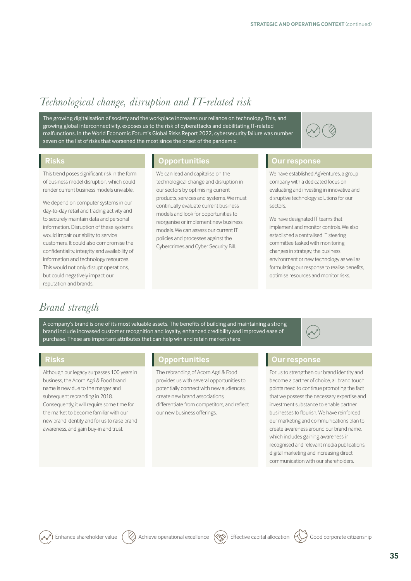## *Technological change, disruption and IT-related risk*

The growing digitalisation of society and the workplace increases our reliance on technology. This, and growing global interconnectivity, exposes us to the risk of cyberattacks and debilitating IT-related malfunctions. In the World Economic Forum's Global Risks Report 2022, cybersecurity failure was number seven on the list of risks that worsened the most since the onset of the pandemic.

This trend poses significant risk in the form of business model disruption, which could render current business models unviable.

We depend on computer systems in our day-to-day retail and trading activity and to securely maintain data and personal information. Disruption of these systems would impair our ability to service customers. It could also compromise the confidentiality, integrity and availability of information and technology resources. This would not only disrupt operations, but could negatively impact our reputation and brands.

## **Risks Opportunities Our response**

We can lead and capitalise on the technological change and disruption in our sectors by optimising current products, services and systems. We must continually evaluate current business models and look for opportunities to reorganise or implement new business models. We can assess our current IT policies and processes against the Cybercrimes and Cyber Security Bill.

We have established AgVentures, a group company with a dedicated focus on evaluating and investing in innovative and disruptive technology solutions for our sectors.

We have designated IT teams that implement and monitor controls. We also established a centralised IT steering committee tasked with monitoring changes in strategy, the business environment or new technology as well as formulating our response to realise benefits, optimise resources and monitor risks.

## *Brand strength*

A company's brand is one of its most valuable assets. The benefits of building and maintaining a strong brand include increased customer recognition and loyalty, enhanced credibility and improved ease of purchase. These are important attributes that can help win and retain market share.



Although our legacy surpasses 100 years in business, the Acorn Agri & Food brand name is new due to the merger and subsequent rebranding in 2018. Consequently, it will require some time for the market to become familiar with our new brand identity and for us to raise brand awareness, and gain buy-in and trust.

## **Risks Opportunities Our response**

The rebranding of Acorn Agri & Food provides us with several opportunities to potentially connect with new audiences, create new brand associations, differentiate from competitors, and reflect our new business offerings.

For us to strengthen our brand identity and become a partner of choice, all brand touch points need to continue promoting the fact that we possess the necessary expertise and investment substance to enable partner businesses to flourish. We have reinforced our marketing and communications plan to create awareness around our brand name, which includes gaining awareness in recognised and relevant media publications, digital marketing and increasing direct communication with our shareholders.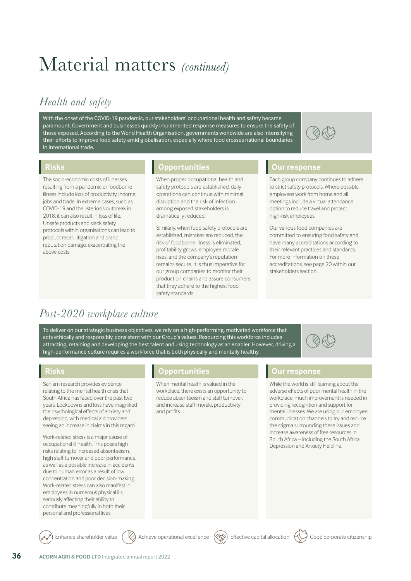# Material matters *(continued)*

## *Health and safety*

With the onset of the COVID-19 pandemic, our stakeholders' occupational health and safety became paramount. Government and businesses quickly implemented response measures to ensure the safety of those exposed. According to the World Health Organisation, governments worldwide are also intensifying their efforts to improve food safety amid globalisation, especially where food crosses national boundaries in international trade.



The socio-economic costs of illnesses resulting from a pandemic or foodborne illness include loss of productivity, income, jobs and trade. In extreme cases, such as COVID-19 and the listeriosis outbreak in 2018, it can also result in loss of life. Unsafe products and slack safety protocols within organisations can lead to product recall, litigation and brand reputation damage, exacerbating the above costs.

## **Risks Opportunities Our response**

When proper occupational health and safety protocols are established, daily operations can continue with minimal disruption and the risk of infection among exposed stakeholders is dramatically reduced.

Similarly, when food safety protocols are established, mistakes are reduced, the risk of foodborne illness is eliminated, profitability grows, employee morale rises, and the company's reputation remains secure. It is thus imperative for our group companies to monitor their production chains and assure consumers that they adhere to the highest food safety standards.

Each group company continues to adhere to strict safety protocols. Where possible, employees work from home and all meetings include a virtual attendance option to reduce travel and protect high-risk employees.

Our various food companies are committed to ensuring food safety and have many accreditations according to their relevant practices and standards. For more information on these accreditations, see page 20 within our stakeholders section.

## *Post-2020 workplace culture*

To deliver on our strategic business objectives, we rely on a high-performing, motivated workforce that acts ethically and responsibly, consistent with our Group's values. Resourcing this workforce includes attracting, retaining and developing the best talent and using technology as an enabler. However, driving a high-performance culture requires a workforce that is both physically and mentally healthy.

Sanlam research provides evidence relating to the mental health crisis that South Africa has faced over the past two years. Lockdowns and loss have magnified the psychological effects of anxiety and depression, with medical aid providers seeing an increase in claims in this regard.

Work-related stress is a major cause of occupational ill health. This poses high risks relating to increased absenteeism, high staff turnover and poor performance, as well as a possible increase in accidents due to human error as a result of low concentration and poor decision-making. Work-related stress can also manifest in employees in numerous physical ills, seriously affecting their ability to contribute meaningfully in both their personal and professional lives.

## **Risks Opportunities Our response**

When mental health is valued in the workplace, there exists an opportunity to reduce absenteeism and staff turnover, and increase staff morale, productivity and profits.

While the world is still learning about the adverse effects of poor mental health in the workplace, much improvement is needed in providing recognition and support for mental illnesses. We are using our employee communication channels to try and reduce the stigma surrounding these issues and increase awareness of free resources in South Africa – including the South Africa Depression and Anxiety Helpline.

S R R 3

Enhance shareholder value  $\binom{1}{2}$  Achieve operational excellence  $\binom{2}{3}$  Effective capital allocation  $\binom{3}{2}$  Good corporate citizenship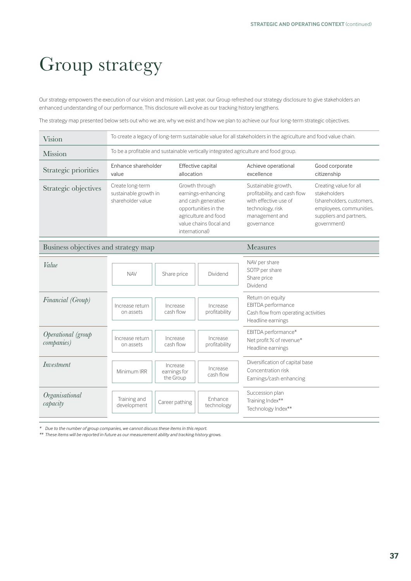# Group strategy

Our strategy empowers the execution of our vision and mission. Last year, our Group refreshed our strategy disclosure to give stakeholders an enhanced understanding of our performance. This disclosure will evolve as our tracking history lengthens.

The strategy map presented below sets out who we are, why we exist and how we plan to achieve our four long-term strategic objectives.

| Vision                                   | To create a legacy of long-term sustainable value for all stakeholders in the agriculture and food value chain. |                                                                                                                                                          |                                   |                                                                                                                                  |                                                                                                                                          |  |
|------------------------------------------|-----------------------------------------------------------------------------------------------------------------|----------------------------------------------------------------------------------------------------------------------------------------------------------|-----------------------------------|----------------------------------------------------------------------------------------------------------------------------------|------------------------------------------------------------------------------------------------------------------------------------------|--|
| <b>Mission</b>                           | To be a profitable and sustainable vertically integrated agriculture and food group.                            |                                                                                                                                                          |                                   |                                                                                                                                  |                                                                                                                                          |  |
| Strategic priorities                     | Enhance shareholder<br>Effective capital<br>allocation<br>value                                                 |                                                                                                                                                          | Achieve operational<br>excellence | Good corporate<br>citizenship                                                                                                    |                                                                                                                                          |  |
| Strategic objectives                     | Create long-term<br>sustainable growth in<br>shareholder value                                                  | Growth through<br>earnings-enhancing<br>and cash generative<br>opportunities in the<br>agriculture and food<br>value chains (local and<br>international) |                                   | Sustainable growth,<br>profitability, and cash flow<br>with effective use of<br>technology, risk<br>management and<br>governance | Creating value for all<br>stakeholders<br>(shareholders, customers,<br>employees, communities,<br>suppliers and partners,<br>government) |  |
| Business objectives and strategy map     |                                                                                                                 | <b>Measures</b>                                                                                                                                          |                                   |                                                                                                                                  |                                                                                                                                          |  |
| Value                                    | <b>NAV</b>                                                                                                      | Share price                                                                                                                                              | Dividend                          | NAV per share<br>SOTP per share<br>Share price<br>Dividend                                                                       |                                                                                                                                          |  |
| Financial (Group)                        | Increase return<br>on assets                                                                                    | Increase<br>cash flow                                                                                                                                    | Increase<br>profitability         | Return on equity<br>EBITDA performance<br>Cash flow from operating activities<br>Headline earnings                               |                                                                                                                                          |  |
| Operational (group<br><i>companies</i> ) | Increase return<br>on assets                                                                                    | Increase<br>cash flow                                                                                                                                    | Increase<br>profitability         | EBITDA performance*<br>Net profit % of revenue*<br>Headline earnings                                                             |                                                                                                                                          |  |
| Investment                               | Minimum IRR                                                                                                     | Increase<br>earnings for<br>the Group                                                                                                                    | Increase<br>cash flow             | Diversification of capital base<br>Concentration risk<br>Earnings/cash enhancing                                                 |                                                                                                                                          |  |
| Organisational<br>capacity               | Training and<br>development                                                                                     | Career pathing                                                                                                                                           | Enhance<br>technology             | Succession plan<br>Training Index**<br>Technology Index**                                                                        |                                                                                                                                          |  |

*\* Due to the number of group companies, we cannot discuss these items in this report.*

*\*\* These items will be reported in future as our measurement ability and tracking history grows.*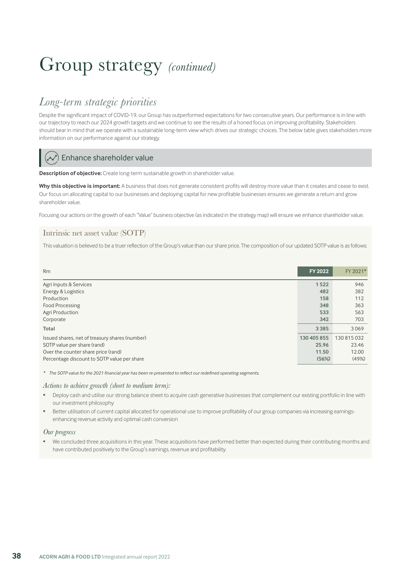## *Long-term strategic priorities*

Despite the significant impact of COVID-19, our Group has outperformed expectations for two consecutive years. Our performance is in line with our trajectory to reach our 2024 growth targets and we continue to see the results of a honed focus on improving profitability. Stakeholders should bear in mind that we operate with a sustainable long-term view which drives our strategic choices. The below table gives stakeholders more information on our performance against our strategy.

## Enhance shareholder value

**Description of objective:** Create long-term sustainable growth in shareholder value.

Why this objective is important: A business that does not generate consistent profits will destroy more value than it creates and cease to exist. Our focus on allocating capital to our businesses and deploying capital for new profitable businesses ensures we generate a return and grow shareholder value.

Focusing our actions on the growth of each "Value" business objective (as indicated in the strategy map) will ensure we enhance shareholder value.

## Intrinsic net asset value (SOTP)

This valuation is believed to be a truer reflection of the Group's value than our share price. The composition of our updated SOTP value is as follows:

| <b>Rm</b>                                      | FY 2022     | FY 2021*    |
|------------------------------------------------|-------------|-------------|
| Agri Inputs & Services                         | 1522        | 946         |
| Energy & Logistics                             | 482         | 382         |
| Production                                     | 158         | 112         |
| <b>Food Processing</b>                         | 348         | 363         |
| Agri Production                                | 533         | 563         |
| Corporate                                      | 342         | 703         |
| <b>Total</b>                                   | 3 3 8 5     | 3069        |
| Issued shares, net of treasury shares (number) | 130 405 855 | 130 815 032 |
| SOTP value per share (rand)                    | 25.96       | 23.46       |
| Over the counter share price (rand)            | 11.50       | 12.00       |
| Percentage discount to SOTP value per share    | (56%)       | (49%)       |

*\* The SOTP value for the 2021 financial year has been re-presented to reflect our redefined operating segments.*

### *Actions to achieve growth (short to medium term):*

- Deploy cash and utilise our strong balance sheet to acquire cash generative businesses that complement our existing portfolio in line with our investment philosophy
- Better utilisation of current capital allocated for operational use to improve profitability of our group companies via increasing earningsenhancing revenue activity and optimal cash conversion

### *Our progress*

• We concluded three acquisitions in this year. These acquisitions have performed better than expected during their contributing months and have contributed positively to the Group's earnings, revenue and profitability.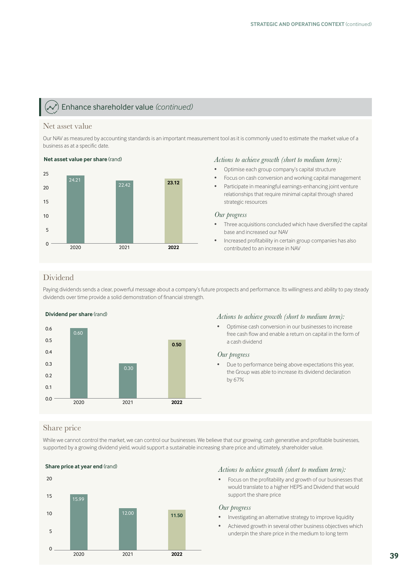## Enhance shareholder value *(continued)*

### Net asset value

Our NAV as measured by accounting standards is an important measurement tool as it is commonly used to estimate the market value of a business as at a specific date.



### *Actions to achieve growth (short to medium term):*

- Optimise each group company's capital structure
- Focus on cash conversion and working capital management
- Participate in meaningful earnings-enhancing joint venture relationships that require minimal capital through shared strategic resources

### *Our progress*

- Three acquisitions concluded which have diversified the capital base and increased our NAV
- Increased profitability in certain group companies has also contributed to an increase in NAV

## Dividend

Paying dividends sends a clear, powerful message about a company's future prospects and performance. Its willingness and ability to pay steady dividends over time provide a solid demonstration of financial strength.



### *Actions to achieve growth (short to medium term):*

• Optimise cash conversion in our businesses to increase free cash flow and enable a return on capital in the form of a cash dividend

### *Our progress*

• Due to performance being above expectations this year, the Group was able to increase its dividend declaration by 67%

## Share price

While we cannot control the market, we can control our businesses. We believe that our growing, cash generative and profitable businesses, supported by a growing dividend yield, would support a sustainable increasing share price and ultimately, shareholder value.



## *Actions to achieve growth (short to medium term):*

• Focus on the profitability and growth of our businesses that would translate to a higher HEPS and Dividend that would support the share price

### *Our progress*

- Investigating an alternative strategy to improve liquidity
- Achieved growth in several other business objectives which underpin the share price in the medium to long term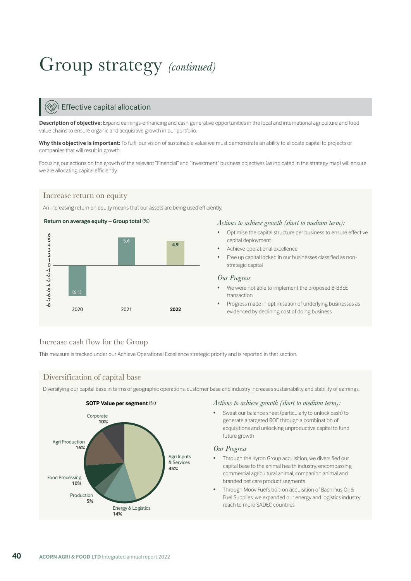## Effective capital allocation

**Description of objective:** Expand earnings-enhancing and cash generative opportunities in the local and international agriculture and food value chains to ensure organic and acquisitive growth in our portfolio.

Why this objective is important: To fulfil our vision of sustainable value we must demonstrate an ability to allocate capital to projects or companies that will result in growth.

Focusing our actions on the growth of the relevant "Financial" and "Investment" business objectives (as indicated in the strategy map) will ensure we are allocating capital efficiently.

## Increase return on equity

An increasing return on equity means that our assets are being used efficiently.



### *Actions to achieve growth (short to medium term):*

- Optimise the capital structure per business to ensure effective capital deployment
- Achieve operational excellence
- Free up capital locked in our businesses classified as nonstrategic capital

### *Our Progress*

- We were not able to implement the proposed B-BBEE transaction
- Progress made in optimisation of underlying businesses as evidenced by declining cost of doing business

## Increase cash flow for the Group

This measure is tracked under our Achieve Operational Excellence strategic priority and is reported in that section.

## Diversification of capital base

Diversifying our capital base in terms of geographic operations, customer base and industry increases sustainability and stability of earnings.



## *Actions to achieve growth (short to medium term):*

• Sweat our balance sheet (particularly to unlock cash) to generate a targeted ROE through a combination of acquisitions and unlocking unproductive capital to fund future growth

### *Our Progress*

- Through the Kyron Group acquisition, we diversified our capital base to the animal health industry, encompassing commercial agricultural animal, companion animal and branded pet care product segments
- Through Moov Fuel's bolt-on acquisition of Bachmus Oil & Fuel Supplies, we expanded our energy and logistics industry reach to more SADEC countries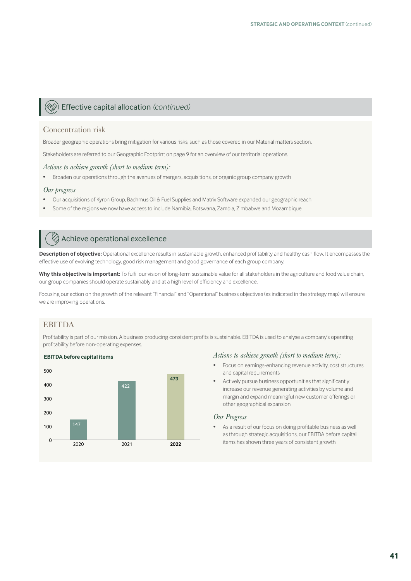## Effective capital allocation *(continued)*

### Concentration risk

Broader geographic operations bring mitigation for various risks, such as those covered in our Material matters section.

Stakeholders are referred to our Geographic Footprint on page 9 for an overview of our territorial operations.

### *Actions to achieve growth (short to medium term):*

• Broaden our operations through the avenues of mergers, acquisitions, or organic group company growth

### *Our progress*

- Our acquisitions of Kyron Group, Bachmus Oil & Fuel Supplies and Matrix Software expanded our geographic reach
- Some of the regions we now have access to include Namibia, Botswana, Zambia, Zimbabwe and Mozambique

## Achieve operational excellence

**Description of objective:** Operational excellence results in sustainable growth, enhanced profitability and healthy cash flow. It encompasses the effective use of evolving technology, good risk management and good governance of each group company.

Why this objective is important: To fulfil our vision of long-term sustainable value for all stakeholders in the agriculture and food value chain, our group companies should operate sustainably and at a high level of efficiency and excellence.

Focusing our action on the growth of the relevant "Financial" and "Operational" business objectives (as indicated in the strategy map) will ensure we are improving operations.

## EBITDA

Profitability is part of our mission. A business producing consistent profits is sustainable. EBITDA is used to analyse a company's operating profitability before non-operating expenses.



### *Actions to achieve growth (short to medium term):*

- Focus on earnings-enhancing revenue activity, cost structures and capital requirements
- Actively pursue business opportunities that significantly increase our revenue generating activities by volume and margin and expand meaningful new customer offerings or other geographical expansion

### *Our Progress*

• As a result of our focus on doing profitable business as well as through strategic acquisitions, our EBITDA before capital items has shown three years of consistent growth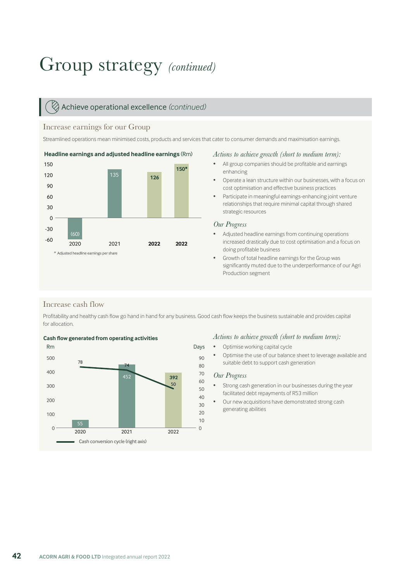## Achieve operational excellence *(continued)*

## Increase earnings for our Group

Streamlined operations mean minimised costs, products and services that cater to consumer demands and maximisation earnings.



### *Actions to achieve growth (short to medium term):*

- All group companies should be profitable and earnings enhancing
- Operate a lean structure within our businesses, with a focus on cost optimisation and effective business practices
- Participate in meaningful earnings-enhancing joint venture relationships that require minimal capital through shared strategic resources

### *Our Progress*

- Adjusted headline earnings from continuing operations increased drastically due to cost optimisation and a focus on doing profitable business
- Growth of total headline earnings for the Group was significantly muted due to the underperformance of our Agri Production segment

## Increase cash flow

Profitability and healthy cash flow go hand in hand for any business. Good cash flow keeps the business sustainable and provides capital for allocation.





### *Actions to achieve growth (short to medium term):*

- Optimise working capital cycle
- Optimise the use of our balance sheet to leverage available and suitable debt to support cash generation

## *Our Progress*

- Strong cash generation in our businesses during the year facilitated debt repayments of R53 million
- Our new acquisitions have demonstrated strong cash generating abilities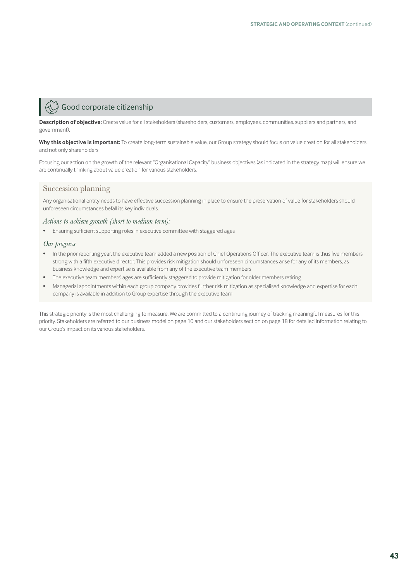## $\hat{\mathbb{F}}$  Good corporate citizenship

**Description of objective:** Create value for all stakeholders (shareholders, customers, employees, communities, suppliers and partners, and government).

Why this objective is important: To create long-term sustainable value, our Group strategy should focus on value creation for all stakeholders and not only shareholders.

Focusing our action on the growth of the relevant "Organisational Capacity" business objectives (as indicated in the strategy map) will ensure we are continually thinking about value creation for various stakeholders.

## Succession planning

Any organisational entity needs to have effective succession planning in place to ensure the preservation of value for stakeholders should unforeseen circumstances befall its key individuals.

### *Actions to achieve growth (short to medium term):*

• Ensuring sufficient supporting roles in executive committee with staggered ages

### *Our progress*

- In the prior reporting year, the executive team added a new position of Chief Operations Officer. The executive team is thus five members strong with a fifth executive director. This provides risk mitigation should unforeseen circumstances arise for any of its members, as business knowledge and expertise is available from any of the executive team members
- The executive team members' ages are sufficiently staggered to provide mitigation for older members retiring
- Managerial appointments within each group company provides further risk mitigation as specialised knowledge and expertise for each company is available in addition to Group expertise through the executive team

This strategic priority is the most challenging to measure. We are committed to a continuing journey of tracking meaningful measures for this priority. Stakeholders are referred to our business model on page 10 and our stakeholders section on page 18 for detailed information relating to our Group's impact on its various stakeholders.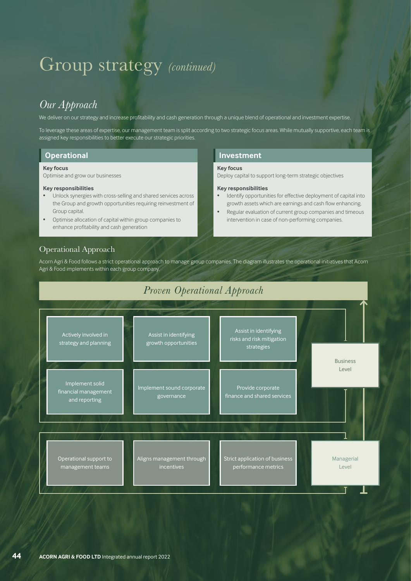## *Our Approach*

We deliver on our strategy and increase profitability and cash generation through a unique blend of operational and investment expertise

To leverage these areas of expertise, our management team is split according to two strategic focus areas. While mutually supportive, each team is assigned key responsibilities to better execute our strategic priorities.

**Key focus** 

**Key responsibilities** 

Deploy capital to support long-term strategic objectives

• Identify opportunities for effective deployment of capital into growth assets which are earnings and cash flow enhancing. • Regular evaluation of current group companies and timeous intervention in case of non-performing companies.

## **Operational Investment**

### **Key focus**

Optimise and grow our businesses

### **Key responsibilities**

- Unlock synergies with cross-selling and shared services across the Group and growth opportunities requiring reinvestment of Group capital.
- Optimise allocation of capital within group companies to enhance profitability and cash generation

## Operational Approach

Acorn Agri & Food follows a strict operational approach to manage group companies. The diagram illustrates the operational initiatives that Acorn Agri & Food implements within each group company.

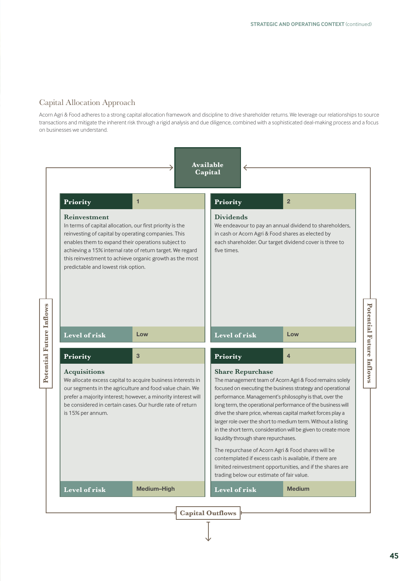## Capital Allocation Approach

Acorn Agri & Food adheres to a strong capital allocation framework and discipline to drive shareholder returns. We leverage our relationships to source transactions and mitigate the inherent risk through a rigid analysis and due diligence, combined with a sophisticated deal-making process and a focus on businesses we understand.